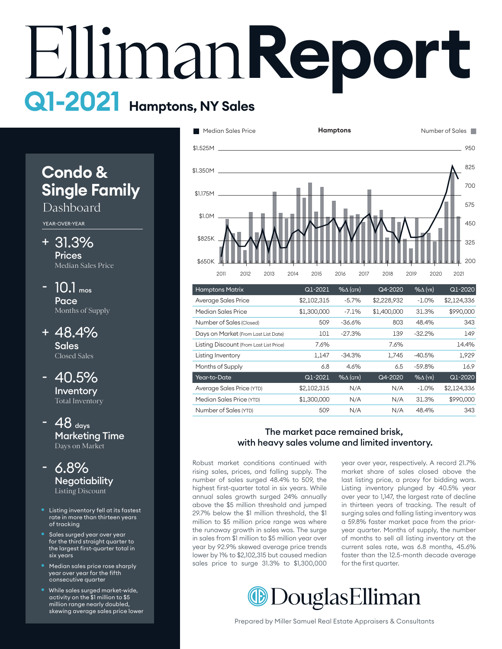# **Report Q1-2021 Hamptons, NY Sales**

# **Condo & Single Family**

Dashboard

YEAR-OVER-YEAR

- 31.3% + **Prices** Median Sales Price
- $10.1$  mos Pace Months of Supply -
- 48.4% + **Sales** Closed Sales
- 40.5% -

Inventory Total Inventory

- 48  $_{days}$ Marketing Time Days on Market
- 6.8% **Negotiability** Listing Discount -
- Listing inventory fell at its fastest rate in more than thirteen years of tracking
- Sales surged year over year for the third straight quarter to the largest first-quarter total in six years
- Median sales price rose sharply year over year for the fifth consecutive quarter
- While sales surged market-wide, activity on the \$1 million to \$5 million range nearly doubled, skewing average sales price lower



| <b>Hamptons Matrix</b>                  | Q1-2021     | $% \triangle (QTR)$ | Q4-2020     | $%$ $\Delta$ (YR) | Q1-2020     |
|-----------------------------------------|-------------|---------------------|-------------|-------------------|-------------|
| Average Sales Price                     | \$2,102,315 | $-5.7%$             | \$2,228,932 | $-1.0\%$          | \$2,124,336 |
| Median Sales Price                      | \$1,300,000 | $-7.1%$             | \$1,400,000 | 31.3%             | \$990,000   |
| Number of Sales (Closed)                | 509         | $-36.6%$            | 803         | 48.4%             | 343         |
| Days on Market (From Last List Date)    | 101         | $-27.3%$            | 139         | $-32.2%$          | 149         |
| Listing Discount (From Last List Price) | 7.6%        |                     | 7.6%        |                   | 14.4%       |
| Listing Inventory                       | 1,147       | $-34.3\%$           | 1,745       | $-40.5%$          | 1,929       |
| Months of Supply                        | 6.8         | 4.6%                | 6.5         | $-59.8%$          | 16.9        |
| Year-to-Date                            | Q1-2021     | $% \triangle (QTR)$ | Q4-2020     | $%$ $\Delta$ (YR) | Q1-2020     |
| Average Sales Price (YTD)               | \$2,102,315 | N/A                 | N/A         | $-1.0\%$          | \$2,124,336 |
| Median Sales Price (YTD)                | \$1,300,000 | N/A                 | N/A         | 31.3%             | \$990,000   |
| Number of Sales (YTD)                   | 509         | N/A                 | N/A         | 48.4%             | 343         |
|                                         |             |                     |             |                   |             |

## The market pace remained brisk, with heavy sales volume and limited inventory.

Robust market conditions continued with year rising sales, prices, and falling supply. The number of sales surged 48.4% to 509, the highest first-quarter total in six years. While annual sales growth surged 24% annually above the \$5 million threshold and jumped 29.7% below the \$1 million threshold, the \$1 million to \$5 million price range was where the runaway growth in sales was. The surge in sales from \$1 million to \$5 million year over year by 92.9% skewed average price trends lower by 1% to \$2,102,315 but caused median sales price to surge 31.3% to \$1,300,000

bust market conditions continued with year over year, respectively. A record 21.7% market share of sales closed above the hand the share of sales sides above the Listing inventory plunged by 40.5% year over year to 1,147, the largest rate of decline 40 in thirteen years of tracking. The result of surging sales and falling listing inventory was a 59.8% faster market pace from the prior-30 year quarter. Months of supply, the number of months to sell all listing inventory at the current sales rate, was 6.8 months, 45.6% faster than the 12.5-month decade average for the first quarter.